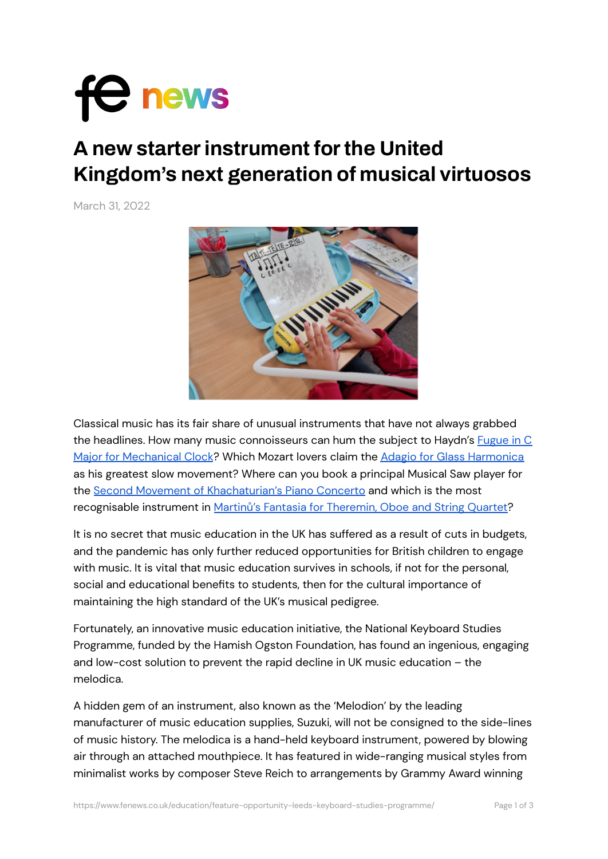

## **A new starterinstrument forthe United Kingdom's next generation of musical virtuosos**

March 31, 2022



Classical music has its fair share of unusual instruments that have not always grabbed the headlines. How many music connoisseurs can hum the subject to Haydn's **[Fugue](https://www.youtube.com/watch?v=AEEfnmcqmYg) in C** Major for [Mechanical](https://www.youtube.com/watch?v=AEEfnmcqmYg) Clock? Which Mozart lovers claim the Adagio for Glass [Harmonica](https://www.youtube.com/watch?v=QkTUL7DjTow) as his greatest slow movement? Where can you book a principal Musical Saw player for the Second Movement of [Khachaturian's](https://www.youtube.com/watch?v=8j3_R_jhpCg) Piano Concerto and which is the most recognisable instrument in Martinů's Fantasia for [Theremin,](https://www.youtube.com/watch?v=YaR02rqeH7U) Oboe and String Quartet?

It is no secret that music education in the UK has suffered as a result of cuts in budgets, and the pandemic has only further reduced opportunities for British children to engage with music. It is vital that music education survives in schools, if not for the personal, social and educational benefits to students, then for the cultural importance of maintaining the high standard of the UK's musical pedigree.

Fortunately, an innovative music education initiative, the National Keyboard Studies Programme, funded by the Hamish Ogston Foundation, has found an ingenious, engaging and low-cost solution to prevent the rapid decline in UK music education – the melodica.

A hidden gem of an instrument, also known as the 'Melodion' by the leading manufacturer of music education supplies, Suzuki, will not be consigned to the side-lines of music history. The melodica is a hand-held keyboard instrument, powered by blowing air through an attached mouthpiece. It has featured in wide-ranging musical styles from minimalist works by composer Steve Reich to arrangements by Grammy Award winning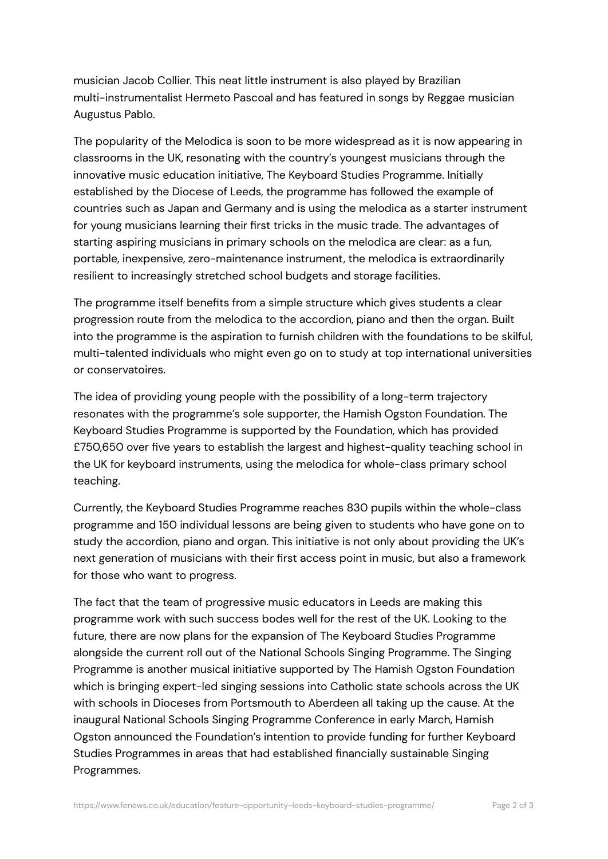musician Jacob Collier. This neat little instrument is also played by Brazilian multi-instrumentalist Hermeto Pascoal and has featured in songs by Reggae musician Augustus Pablo.

The popularity of the Melodica is soon to be more widespread as it is now appearing in classrooms in the UK, resonating with the country's youngest musicians through the innovative music education initiative, The Keyboard Studies Programme. Initially established by the Diocese of Leeds, the programme has followed the example of countries such as Japan and Germany and is using the melodica as a starter instrument for young musicians learning their first tricks in the music trade. The advantages of starting aspiring musicians in primary schools on the melodica are clear: as a fun, portable, inexpensive, zero-maintenance instrument, the melodica is extraordinarily resilient to increasingly stretched school budgets and storage facilities.

The programme itself benefits from a simple structure which gives students a clear progression route from the melodica to the accordion, piano and then the organ. Built into the programme is the aspiration to furnish children with the foundations to be skilful, multi-talented individuals who might even go on to study at top international universities or conservatoires.

The idea of providing young people with the possibility of a long-term trajectory resonates with the programme's sole supporter, the Hamish Ogston Foundation. The Keyboard Studies Programme is supported by the Foundation, which has provided £750,650 over five years to establish the largest and highest-quality teaching school in the UK for keyboard instruments, using the melodica for whole-class primary school teaching.

Currently, the Keyboard Studies Programme reaches 830 pupils within the whole-class programme and 150 individual lessons are being given to students who have gone on to study the accordion, piano and organ. This initiative is not only about providing the UK's next generation of musicians with their first access point in music, but also a framework for those who want to progress.

The fact that the team of progressive music educators in Leeds are making this programme work with such success bodes well for the rest of the UK. Looking to the future, there are now plans for the expansion of The Keyboard Studies Programme alongside the current roll out of the National Schools Singing Programme. The Singing Programme is another musical initiative supported by The Hamish Ogston Foundation which is bringing expert-led singing sessions into Catholic state schools across the UK with schools in Dioceses from Portsmouth to Aberdeen all taking up the cause. At the inaugural National Schools Singing Programme Conference in early March, Hamish Ogston announced the Foundation's intention to provide funding for further Keyboard Studies Programmes in areas that had established financially sustainable Singing Programmes.